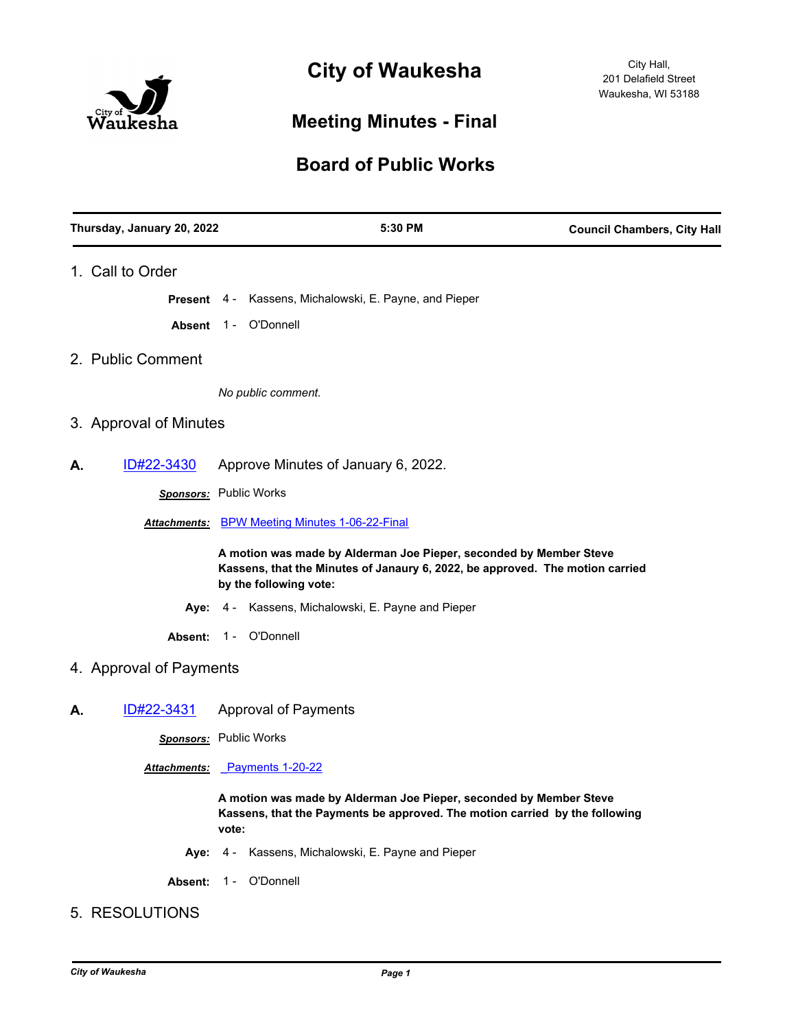

# **City of Waukesha**

# **Meeting Minutes - Final**

## **Board of Public Works**

| Thursday, January 20, 2022 | 5:30 PM                                                                                                                                                                       | <b>Council Chambers, City Hall</b> |
|----------------------------|-------------------------------------------------------------------------------------------------------------------------------------------------------------------------------|------------------------------------|
| 1. Call to Order           |                                                                                                                                                                               |                                    |
|                            | <b>Present</b> 4 - Kassens, Michalowski, E. Payne, and Pieper                                                                                                                 |                                    |
|                            | Absent 1 - O'Donnell                                                                                                                                                          |                                    |
| 2. Public Comment          |                                                                                                                                                                               |                                    |
|                            | No public comment.                                                                                                                                                            |                                    |
| 3. Approval of Minutes     |                                                                                                                                                                               |                                    |
| ID#22-3430<br>А.           | Approve Minutes of January 6, 2022.                                                                                                                                           |                                    |
|                            | Sponsors: Public Works                                                                                                                                                        |                                    |
|                            | Attachments: BPW Meeting Minutes 1-06-22-Final                                                                                                                                |                                    |
|                            | A motion was made by Alderman Joe Pieper, seconded by Member Steve<br>Kassens, that the Minutes of Janaury 6, 2022, be approved. The motion carried<br>by the following vote: |                                    |
| Aye: 4 -                   | Kassens, Michalowski, E. Payne and Pieper                                                                                                                                     |                                    |
| Absent:                    | 1 - O'Donnell                                                                                                                                                                 |                                    |
| 4. Approval of Payments    |                                                                                                                                                                               |                                    |
| <u>ID#22-3431</u><br>А.    | <b>Approval of Payments</b>                                                                                                                                                   |                                    |
|                            | <b>Sponsors:</b> Public Works                                                                                                                                                 |                                    |
|                            | <u>Attachments:</u> Payments 1-20-22                                                                                                                                          |                                    |
|                            | A motion was made by Alderman Joe Pieper, seconded by Member Steve<br>Kassens, that the Payments be approved. The motion carried by the following<br>vote:                    |                                    |
|                            | Aye: 4 - Kassens, Michalowski, E. Payne and Pieper                                                                                                                            |                                    |

Absent: 1 - O'Donnell

### 5. RESOLUTIONS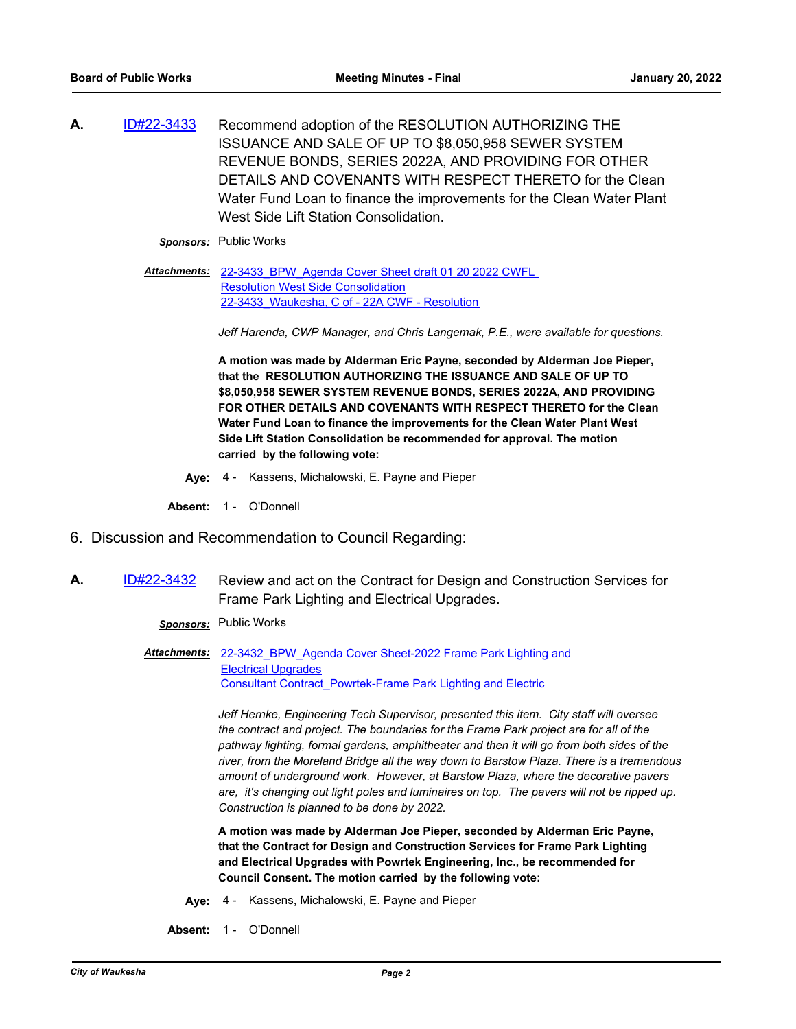**A.** [ID#22-3433](http://waukesha.legistar.com/gateway.aspx?m=l&id=/matter.aspx?key=16383) Recommend adoption of the RESOLUTION AUTHORIZING THE ISSUANCE AND SALE OF UP TO \$8,050,958 SEWER SYSTEM REVENUE BONDS, SERIES 2022A, AND PROVIDING FOR OTHER DETAILS AND COVENANTS WITH RESPECT THERETO for the Clean Water Fund Loan to finance the improvements for the Clean Water Plant West Side Lift Station Consolidation.

*Sponsors:* Public Works

Attachments: 22-3433 BPW Agenda Cover Sheet draft 01 20 2022 CWFL Resolution West Side Consolidation [22-3433\\_Waukesha, C of - 22A CWF - Resolution](http://waukesha.legistar.com/gateway.aspx?M=F&ID=faf1913c-5964-41b0-93e3-2950d5a8a437.pdf)

*Jeff Harenda, CWP Manager, and Chris Langemak, P.E., were available for questions.*

**A motion was made by Alderman Eric Payne, seconded by Alderman Joe Pieper, that the RESOLUTION AUTHORIZING THE ISSUANCE AND SALE OF UP TO \$8,050,958 SEWER SYSTEM REVENUE BONDS, SERIES 2022A, AND PROVIDING FOR OTHER DETAILS AND COVENANTS WITH RESPECT THERETO for the Clean Water Fund Loan to finance the improvements for the Clean Water Plant West Side Lift Station Consolidation be recommended for approval. The motion carried by the following vote:**

**Aye:** 4 - Kassens, Michalowski, E. Payne and Pieper

Absent: 1 - O'Donnell

- 6. Discussion and Recommendation to Council Regarding:
- **A.** [ID#22-3432](http://waukesha.legistar.com/gateway.aspx?m=l&id=/matter.aspx?key=16382) Review and act on the Contract for Design and Construction Services for Frame Park Lighting and Electrical Upgrades.

*Sponsors:* Public Works

Attachments: 22-3432 BPW Agenda Cover Sheet-2022 Frame Park Lighting and Electrical Upgrades [Consultant Contract\\_Powrtek-Frame Park Lighting and Electric](http://waukesha.legistar.com/gateway.aspx?M=F&ID=1f1fc08f-f8e5-4bdc-a4e4-db448938b1b9.pdf)

> *Jeff Hernke, Engineering Tech Supervisor, presented this item. City staff will oversee the contract and project. The boundaries for the Frame Park project are for all of the pathway lighting, formal gardens, amphitheater and then it will go from both sides of the river, from the Moreland Bridge all the way down to Barstow Plaza. There is a tremendous amount of underground work. However, at Barstow Plaza, where the decorative pavers are, it's changing out light poles and luminaires on top. The pavers will not be ripped up. Construction is planned to be done by 2022.*

**A motion was made by Alderman Joe Pieper, seconded by Alderman Eric Payne, that the Contract for Design and Construction Services for Frame Park Lighting and Electrical Upgrades with Powrtek Engineering, Inc., be recommended for Council Consent. The motion carried by the following vote:**

- **Aye:** 4 Kassens, Michalowski, E. Payne and Pieper
- **Absent:** 1 O'Donnell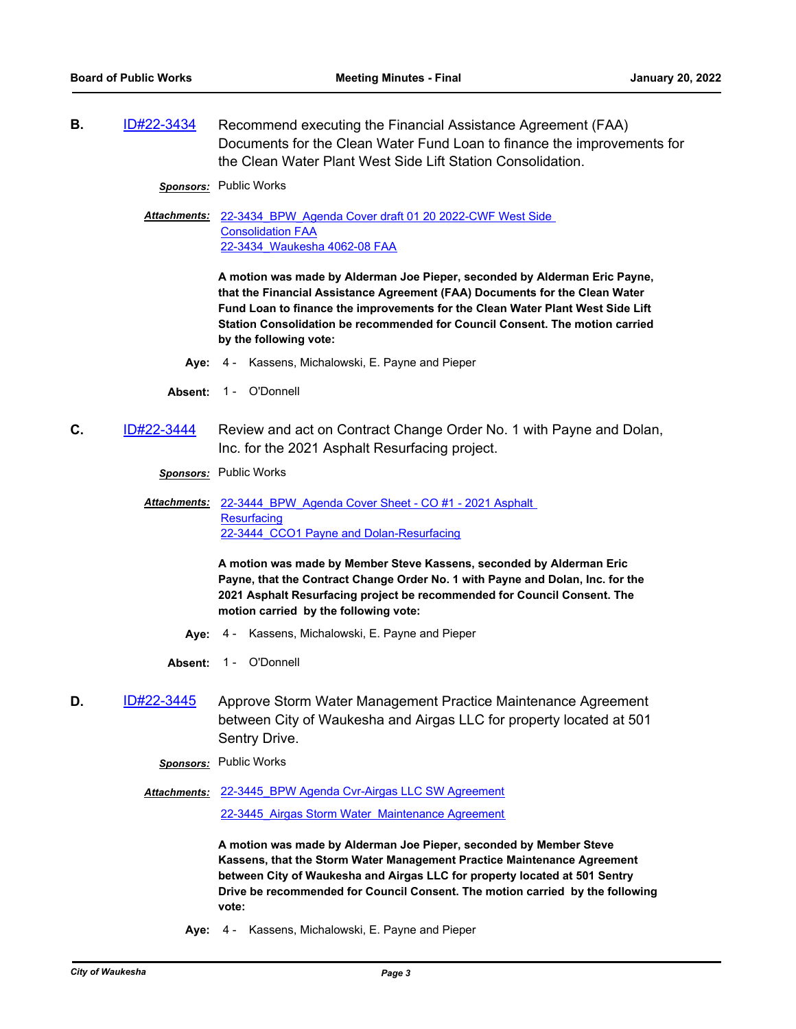**B.** [ID#22-3434](http://waukesha.legistar.com/gateway.aspx?m=l&id=/matter.aspx?key=16384) Recommend executing the Financial Assistance Agreement (FAA) Documents for the Clean Water Fund Loan to finance the improvements for the Clean Water Plant West Side Lift Station Consolidation.

*Sponsors:* Public Works

Attachments: 22-3434 BPW Agenda Cover draft 01 20 2022-CWF West Side Consolidation FAA [22-3434\\_Waukesha 4062-08 FAA](http://waukesha.legistar.com/gateway.aspx?M=F&ID=b8245bd3-a263-4c92-8cee-b146eb456d86.pdf)

> **A motion was made by Alderman Joe Pieper, seconded by Alderman Eric Payne, that the Financial Assistance Agreement (FAA) Documents for the Clean Water Fund Loan to finance the improvements for the Clean Water Plant West Side Lift Station Consolidation be recommended for Council Consent. The motion carried by the following vote:**

- **Aye:** 4 Kassens, Michalowski, E. Payne and Pieper
- Absent: 1 O'Donnell
- **C.** [ID#22-3444](http://waukesha.legistar.com/gateway.aspx?m=l&id=/matter.aspx?key=16392) Review and act on Contract Change Order No. 1 with Payne and Dolan, Inc. for the 2021 Asphalt Resurfacing project.

*Sponsors:* Public Works

Attachments: 22-3444 BPW Agenda Cover Sheet - CO #1 - 2021 Asphalt **Resurfacing** [22-3444\\_CCO1 Payne and Dolan-Resurfacing](http://waukesha.legistar.com/gateway.aspx?M=F&ID=73a779c6-e175-495b-b4b2-5ca578178567.pdf)

> **A motion was made by Member Steve Kassens, seconded by Alderman Eric Payne, that the Contract Change Order No. 1 with Payne and Dolan, Inc. for the 2021 Asphalt Resurfacing project be recommended for Council Consent. The motion carried by the following vote:**

- **Aye:** 4 Kassens, Michalowski, E. Payne and Pieper
- Absent: 1 O'Donnell
- **D.** [ID#22-3445](http://waukesha.legistar.com/gateway.aspx?m=l&id=/matter.aspx?key=16393) Approve Storm Water Management Practice Maintenance Agreement between City of Waukesha and Airgas LLC for property located at 501 Sentry Drive.
	- *Sponsors:* Public Works
	- Attachments: 22-3445 BPW Agenda Cvr-Airgas LLC SW Agreement 22-3445 Airgas Storm Water Maintenance Agreement

**A motion was made by Alderman Joe Pieper, seconded by Member Steve Kassens, that the Storm Water Management Practice Maintenance Agreement between City of Waukesha and Airgas LLC for property located at 501 Sentry Drive be recommended for Council Consent. The motion carried by the following vote:**

**Aye:** 4 - Kassens, Michalowski, E. Payne and Pieper